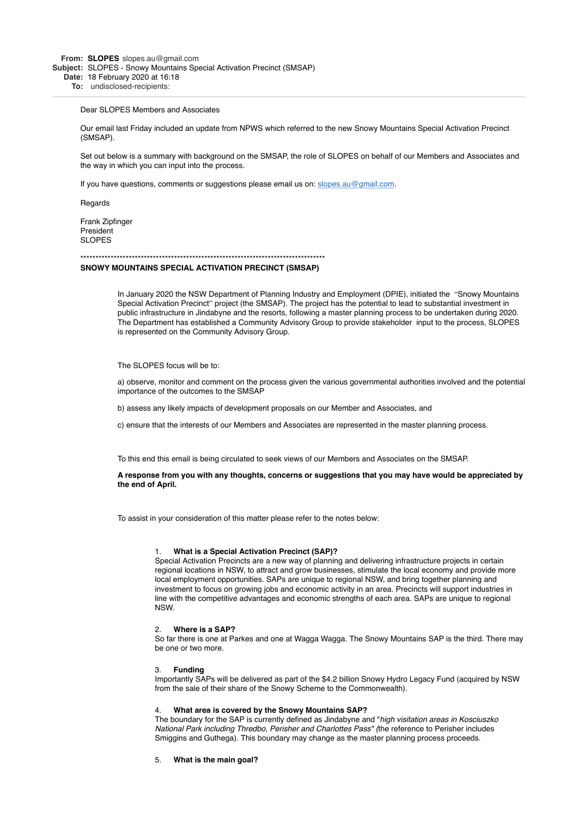**From: SLOPES** slopes.au@gmail.com **Subject:** SLOPES - Snowy Mountains Special Activation Precinct (SMSAP) **Date:** 18 February 2020 at 16:18

**To:** undisclosed-recipients:

#### Dear SLOPES Members and Associates

Our email last Friday included an update from NPWS which referred to the new Snowy Mountains Special Activation Precinct (SMSAP).

Set out below is a summary with background on the SMSAP, the role of SLOPES on behalf of our Members and Associates and the way in which you can input into the process.

If you have questions, comments or suggestions please email us on: [slopes.au@gmail.com](mailto:slopes.au@gmail.com).

**Regards** 

Frank Zipfinger President SLOPES

## \*\*\*\*\*\*\*\*\*\*\*\*\*\*\*\*\*\*\*\*\*\*\*\*\*\*\*\*\*\*\*\*\*\*\*\*\*\*\*\*\*\*\*\*\*\*\*\*\*\*\*\*\*\*\*\*\*\*\*\*\*\*\*\*\*\*\*\*\*\*\*\*\*\*\*\*\*\*\*\*\* **SNOWY MOUNTAINS SPECIAL ACTIVATION PRECINCT (SMSAP)**

is represented on the Community Advisory Group.

In January 2020 the NSW Department of Planning Industry and Employment (DPIE), initiated the "Snowy Mountains Special Activation Precinct" project (the SMSAP). The project has the potential to lead to substantial investment in public infrastructure in Jindabyne and the resorts, following a master planning process to be undertaken during 2020. The Department has established a Community Advisory Group to provide stakeholder input to the process, SLOPES

The SLOPES focus will be to:

a) observe, monitor and comment on the process given the various governmental authorities involved and the potential importance of the outcomes to the SMSAP

b) assess any likely impacts of development proposals on our Member and Associates, and

c) ensure that the interests of our Members and Associates are represented in the master planning process.

To this end this email is being circulated to seek views of our Members and Associates on the SMSAP.

**A response from you with any thoughts, concerns or suggestions that you may have would be appreciated by the end of April.**

To assist in your consideration of this matter please refer to the notes below:

# 1. **What is a Special Activation Precinct (SAP)?**

Special Activation Precincts are a new way of planning and delivering infrastructure projects in certain regional locations in NSW, to attract and grow businesses, stimulate the local economy and provide more local employment opportunities. SAPs are unique to regional NSW, and bring together planning and investment to focus on growing jobs and economic activity in an area. Precincts will support industries in line with the competitive advantages and economic strengths of each area. SAPs are unique to regional NSW.

#### 2. **Where is a SAP?**

So far there is one at Parkes and one at Wagga Wagga. The Snowy Mountains SAP is the third. There may be one or two more.

#### 3. **Funding**

Importantly SAPs will be delivered as part of the \$4.2 billion Snowy Hydro Legacy Fund (acquired by NSW from the sale of their share of the Snowy Scheme to the Commonwealth).

### 4. **What area is covered by the Snowy Mountains SAP?**

The boundary for the SAP is currently defined as Jindabyne and "*high visitation areas in Kosciuszko National Park including Thredbo, Perisher and Charlottes Pass" (*the reference to Perisher includes Smiggins and Guthega). This boundary may change as the master planning process proceeds.

### 5. **What is the main goal?**